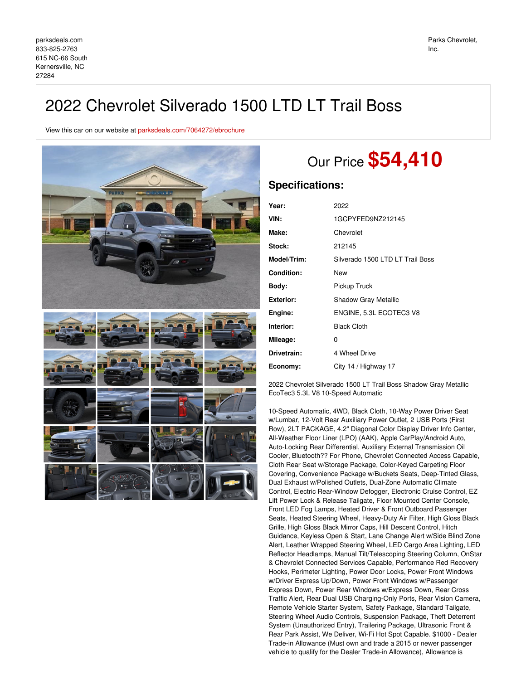## 2022 Chevrolet Silverado 1500 LTD LT Trail Boss

View this car on our website at [parksdeals.com/7064272/ebrochure](file:///7064272/ebrochure)



# Our Price **\$54,410**

### **Specifications:**

| 2022                             |
|----------------------------------|
| 1GCPYFED9NZ212145                |
| Chevrolet                        |
| 212145                           |
| Silverado 1500 LTD LT Trail Boss |
| New                              |
| Pickup Truck                     |
| <b>Shadow Gray Metallic</b>      |
| ENGINE, 5.3L ECOTEC3 V8          |
| <b>Black Cloth</b>               |
| 0                                |
| 4 Wheel Drive                    |
| City 14 / Highway 17             |
|                                  |

2022 Chevrolet Silverado 1500 LT Trail Boss Shadow Gray Metallic EcoTec3 5.3L V8 10-Speed Automatic

10-Speed Automatic, 4WD, Black Cloth, 10-Way Power Driver Seat w/Lumbar, 12-Volt Rear Auxiliary Power Outlet, 2 USB Ports (First Row), 2LT PACKAGE, 4.2" Diagonal Color Display Driver Info Center, All-Weather Floor Liner (LPO) (AAK), Apple CarPlay/Android Auto, Auto-Locking Rear Differential, Auxiliary External Transmission Oil Cooler, Bluetooth?? For Phone, Chevrolet Connected Access Capable, Cloth Rear Seat w/Storage Package, Color-Keyed Carpeting Floor Covering, Convenience Package w/Buckets Seats, Deep-Tinted Glass, Dual Exhaust w/Polished Outlets, Dual-Zone Automatic Climate Control, Electric Rear-Window Defogger, Electronic Cruise Control, EZ Lift Power Lock & Release Tailgate, Floor Mounted Center Console, Front LED Fog Lamps, Heated Driver & Front Outboard Passenger Seats, Heated Steering Wheel, Heavy-Duty Air Filter, High Gloss Black Grille, High Gloss Black Mirror Caps, Hill Descent Control, Hitch Guidance, Keyless Open & Start, Lane Change Alert w/Side Blind Zone Alert, Leather Wrapped Steering Wheel, LED Cargo Area Lighting, LED Reflector Headlamps, Manual Tilt/Telescoping Steering Column, OnStar & Chevrolet Connected Services Capable, Performance Red Recovery Hooks, Perimeter Lighting, Power Door Locks, Power Front Windows w/Driver Express Up/Down, Power Front Windows w/Passenger Express Down, Power Rear Windows w/Express Down, Rear Cross Traffic Alert, Rear Dual USB Charging-Only Ports, Rear Vision Camera, Remote Vehicle Starter System, Safety Package, Standard Tailgate, Steering Wheel Audio Controls, Suspension Package, Theft Deterrent System (Unauthorized Entry), Trailering Package, Ultrasonic Front & Rear Park Assist, We Deliver, Wi-Fi Hot Spot Capable. \$1000 - Dealer Trade-in Allowance (Must own and trade a 2015 or newer passenger vehicle to qualify for the Dealer Trade-in Allowance), Allowance is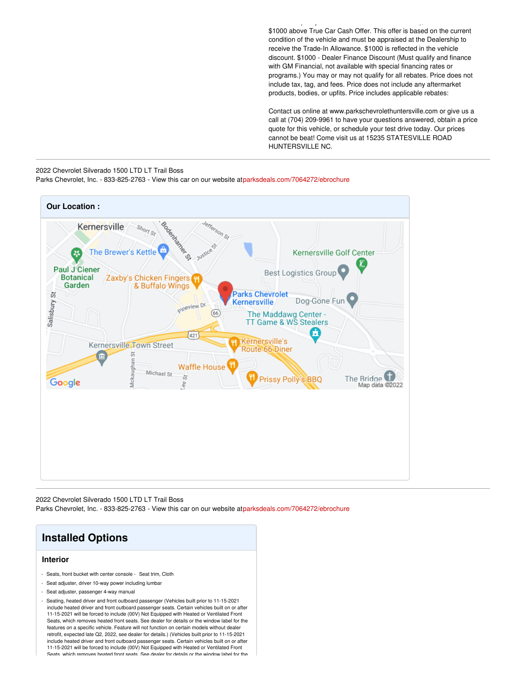\$1000 above True Car Cash Offer. This offer is based on the current condition of the vehicle and must be appraised at the Dealership to receive the Trade-In Allowance. \$1000 is reflected in the vehicle discount. \$1000 - Dealer Finance Discount (Must qualify and finance with GM Financial, not available with special financing rates or programs.) You may or may not qualify for all rebates. Price does not include tax, tag, and fees. Price does not include any aftermarket products, bodies, or upfits. Price includes applicable rebates:

vehicle to qualify for the Dealer Trade-in Allowance), Allowance is

Contact us online at www.parkschevrolethuntersville.com or give us a call at (704) 209-9961 to have your questions answered, obtain a price quote for this vehicle, or schedule your test drive today. Our prices cannot be beat! Come visit us at 15235 STATESVILLE ROAD HUNTERSVILLE NC.

#### 2022 Chevrolet Silverado 1500 LTD LT Trail Boss

Parks Chevrolet, Inc. - 833-825-2763 - View this car on our website a[tparksdeals.com/7064272/ebrochure](file:///7064272/ebrochure)



2022 Chevrolet Silverado 1500 LTD LT Trail Boss Parks Chevrolet, Inc. - 833-825-2763 - View this car on our website a[tparksdeals.com/7064272/ebrochure](file:///7064272/ebrochure)

## **Installed Options**

#### **Interior**

- Seats, front bucket with center console Seat trim, Cloth
- Seat adjuster, driver 10-way power including lumbar
- Seat adjuster, passenger 4-way manual
- Seating, heated driver and front outboard passenger (Vehicles built prior to 11-15-2021 include heated driver and front outboard passenger seats. Certain vehicles built on or after 11-15-2021 will be forced to include (00V) Not Equipped with Heated or Ventilated Front Seats, which removes heated front seats. See dealer for details or the window label for the features on a specific vehicle. Feature will not function on certain models without dealer retrofit, expected late Q2, 2022, see dealer for details.) (Vehicles built prior to 11-15-2021 include heated driver and front outboard passenger seats. Certain vehicles built on or after 11-15-2021 will be forced to include (00V) Not Equipped with Heated or Ventilated Front Seats, which removes heated front seats. See dealer for details or the window label for the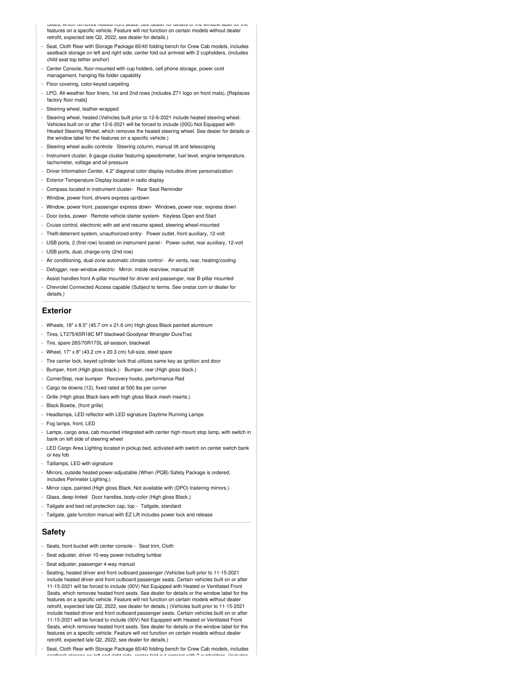Seats, which removes heated front seats. See dealer for details or the window label for the features on a specific vehicle. Feature will not function on certain models without dealer retrofit, expected late Q2, 2022, see dealer for details.)

- Seat, Cloth Rear with Storage Package 60/40 folding bench for Crew Cab models, includes seatback storage on left and right side, center fold out armrest with 2 cupholders, (includes child seat top tether anchor)
- Center Console, floor-mounted with cup holders, cell phone storage, power cord management, hanging file folder capability
- Floor covering, color-keyed carpeting
- LPO, All-weather floor liners, 1st and 2nd rows (includes Z71 logo on front mats), [Replaces factory floor mats]
- Steering wheel, leather-wrapped
- Steering wheel, heated (Vehicles built prior to 12-6-2021 include heated steering wheel. Vehicles built on or after 12-6-2021 will be forced to include (00G) Not Equipped with Heated Steering Wheel, which removes the heated steering wheel. See dealer for details or the window label for the features on a specific vehicle.)
- Steering wheel audio controls- Steering column, manual tilt and telescoping
- Instrument cluster, 6-gauge cluster featuring speedometer, fuel level, engine temperature, tachometer, voltage and oil pressure
- Driver Information Center, 4.2" diagonal color display includes driver personalization
- Exterior Temperature Display located in radio display
- Compass located in instrument cluster- Rear Seat Reminder
- Window, power front, drivers express up/down
- Window, power front, passenger express down- Windows, power rear, express down
- Door locks, power- Remote vehicle starter system- Keyless Open and Start
- Cruise control, electronic with set and resume speed, steering wheel-mounted
- Theft-deterrent system, unauthorized entry- Power outlet, front auxiliary, 12-volt
- USB ports, 2 (first row) located on instrument panel- Power outlet, rear auxiliary, 12-volt
- USB ports, dual, charge-only (2nd row)
- Air conditioning, dual-zone automatic climate control- Air vents, rear, heating/cooling
- Defogger, rear-window electric- Mirror, inside rearview, manual tilt
- Assist handles front A-pillar mounted for driver and passenger, rear B-pillar mounted
- Chevrolet Connected Access capable (Subject to terms. See onstar.com or dealer for details.)

#### **Exterior**

- Wheels, 18" x 8.5" (45.7 cm x 21.6 cm) High gloss Black painted aluminum
- Tires, LT275/65R18C MT blackwall Goodyear Wrangler DuraTrac
- Tire, spare 265/70R17SL all-season, blackwall
- Wheel, 17" x 8" (43.2 cm x 20.3 cm) full-size, steel spare
- Tire carrier lock, keyed cylinder lock that utilizes same key as ignition and door
- Bumper, front (High gloss black.)- Bumper, rear (High gloss black.)
- CornerStep, rear bumper- Recovery hooks, performance Red
- Cargo tie downs (12), fixed rated at 500 lbs per corner
- Grille (High gloss Black bars with high gloss Black mesh inserts.)
- Black Bowtie, (front grille)
- Headlamps, LED reflector with LED signature Daytime Running Lamps
- Fog lamps, front, LED
- Lamps, cargo area, cab mounted integrated with center high mount stop lamp, with switch in bank on left side of steering wheel
- LED Cargo Area Lighting located in pickup bed, activated with switch on center switch bank or key fob
- Taillamps, LED with signature
- Mirrors, outside heated power-adjustable (When (PQB) Safety Package is ordered, includes Perimeter Lighting.)
- Mirror caps, painted (High gloss Black. Not available with (DPO) trailering mirrors.)
- Glass, deep-tinted- Door handles, body-color (High gloss Black.)
- Tailgate and bed rail protection cap, top Tailgate, standard
- Tailgate, gate function manual with EZ Lift includes power lock and release

#### **Safety**

- Seats, front bucket with center console Seat trim, Cloth
- Seat adjuster, driver 10-way power including lumbar
- Seat adjuster, passenger 4-way manual
- Seating, heated driver and front outboard passenger (Vehicles built prior to 11-15-2021 include heated driver and front outboard passenger seats. Certain vehicles built on or after 11-15-2021 will be forced to include (00V) Not Equipped with Heated or Ventilated Front Seats, which removes heated front seats. See dealer for details or the window label for the features on a specific vehicle. Feature will not function on certain models without deal retrofit, expected late Q2, 2022, see dealer for details.) (Vehicles built prior to 11-15-2021 include heated driver and front outboard passenger seats. Certain vehicles built on or after 11-15-2021 will be forced to include (00V) Not Equipped with Heated or Ventilated Front Seats, which removes heated front seats. See dealer for details or the window label for the features on a specific vehicle. Feature will not function on certain models without deale retrofit, expected late Q2, 2022, see dealer for details.)
- Seat, Cloth Rear with Storage Package 60/40 folding bench for Crew Cab models, includes seatback storage on left and right side, center fold out armrest with 2 cupholders, (includes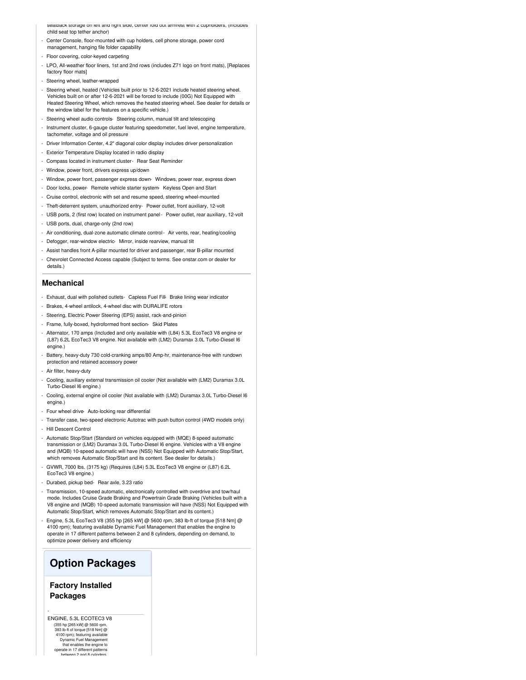- seatback storage on left and right side, center fold out armrest with  $z$  cupholders, (includes child seat top tether anchor)
- Center Console, floor-mounted with cup holders, cell phone storage, power cord management, hanging file folder capability
- Floor covering, color-keyed carpeting
- LPO, All-weather floor liners, 1st and 2nd rows (includes Z71 logo on front mats), [Replaces factory floor mats]
- Steering wheel, leather-wrapped
- Steering wheel, heated (Vehicles built prior to 12-6-2021 include heated steering wheel. Vehicles built on or after 12-6-2021 will be forced to include (00G) Not Equipped with Heated Steering Wheel, which removes the heated steering wheel. See dealer for details or the window label for the features on a specific vehicle.)
- Steering wheel audio controls- Steering column, manual tilt and telescoping
- Instrument cluster, 6-gauge cluster featuring speedometer, fuel level, engine temperature, tachometer, voltage and oil pressure
- Driver Information Center, 4.2" diagonal color display includes driver personalization
- Exterior Temperature Display located in radio display
- Compass located in instrument cluster- Rear Seat Reminder
- Window, power front, drivers express up/down
- Window, power front, passenger express down- Windows, power rear, express down
- Door locks, power- Remote vehicle starter system- Keyless Open and Start
- Cruise control, electronic with set and resume speed, steering wheel-mounted
- Theft-deterrent system, unauthorized entry- Power outlet, front auxiliary, 12-volt
- USB ports, 2 (first row) located on instrument panel- Power outlet, rear auxiliary, 12-volt
- USB ports, dual, charge-only (2nd row)
- Air conditioning, dual-zone automatic climate control- Air vents, rear, heating/cooling
- Defogger, rear-window electric- Mirror, inside rearview, manual tilt
- Assist handles front A-pillar mounted for driver and passenger, rear B-pillar mounted
- Chevrolet Connected Access capable (Subject to terms. See onstar.com or dealer for details.)

#### **Mechanical**

- Exhaust, dual with polished outlets- Capless Fuel Fill- Brake lining wear indicator
- Brakes, 4-wheel antilock, 4-wheel disc with DURALIFE rotors
- Steering, Electric Power Steering (EPS) assist, rack-and-pinion
- Frame, fully-boxed, hydroformed front section- Skid Plates
- Alternator, 170 amps (Included and only available with (L84) 5.3L EcoTec3 V8 engine or (L87) 6.2L EcoTec3 V8 engine. Not available with (LM2) Duramax 3.0L Turbo-Diesel I6 engine.)
- Battery, heavy-duty 730 cold-cranking amps/80 Amp-hr, maintenance-free with rundown protection and retained accessory power
- Air filter, heavy-duty
- Cooling, auxiliary external transmission oil cooler (Not available with (LM2) Duramax 3.0L Turbo-Diesel I6 engine.)
- Cooling, external engine oil cooler (Not available with (LM2) Duramax 3.0L Turbo-Diesel I6 engine.)
- Four wheel drive- Auto-locking rear differential
- Transfer case, two-speed electronic Autotrac with push button control (4WD models only) - Hill Descent Control
- 
- Automatic Stop/Start (Standard on vehicles equipped with (MQE) 8-speed automatic transmission or (LM2) Duramax 3.0L Turbo-Diesel I6 engine. Vehicles with a V8 engine and (MQB) 10-speed automatic will have (NSS) Not Equipped with Automatic Stop/Start, which removes Automatic Stop/Start and its content. See dealer for details.)
- GVWR, 7000 lbs. (3175 kg) (Requires (L84) 5.3L EcoTec3 V8 engine or (L87) 6.2L EcoTec3 V8 engine.)
- Durabed, pickup bed- Rear axle, 3.23 ratio
- Transmission, 10-speed automatic, electronically controlled with overdrive and tow/haul mode. Includes Cruise Grade Braking and Powertrain Grade Braking (Vehicles built with a V8 engine and (MQB) 10-speed automatic transmission will have (NSS) Not Equipped with Automatic Stop/Start, which removes Automatic Stop/Start and its content.)
- Engine, 5.3L EcoTec3 V8 (355 hp [265 kW] @ 5600 rpm, 383 lb-ft of torque [518 Nm] @ 4100 rpm); featuring available Dynamic Fuel Management that enables the engine to operate in 17 different patterns between 2 and 8 cylinders, depending on demand, to optimize power delivery and efficiency

## **Option Packages**

#### **Factory Installed Packages**

ENGINE, 5.3L ECOTEC3 V8 (355 hp [265 kW] @ 5600 rpm, 383 lb-ft of torque [518 Nm] @ 4100 rpm); featuring available Dynamic Fuel Management that enables the engine to operate in 17 different patterns between 2 and 8 cylinders,

-